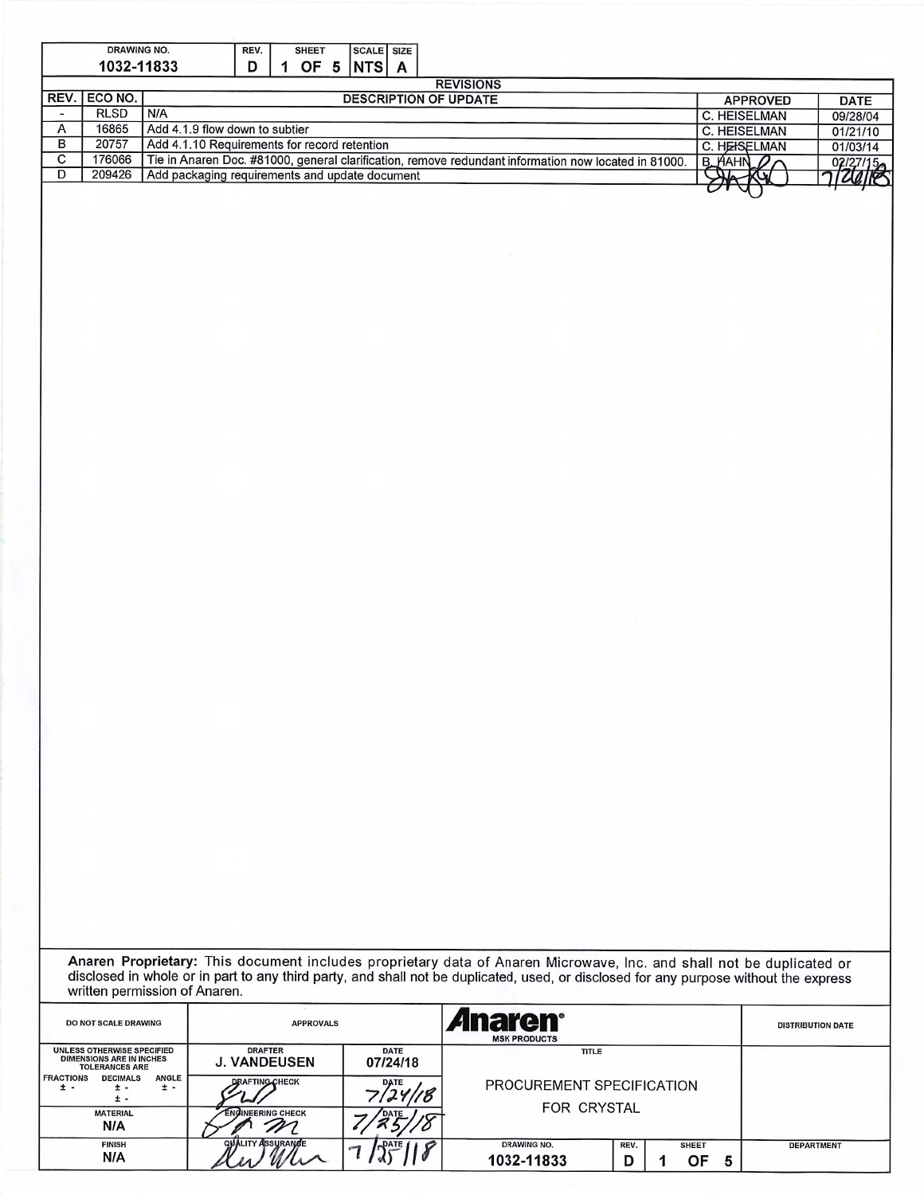|                               | <b>DRAWING NO.</b>                                       |                                              | REV. |                                                                                                      | <b>SHEET</b>    |          | <b>SCALE SIZE</b> |                   |         |                                |  |  |  |  |  |
|-------------------------------|----------------------------------------------------------|----------------------------------------------|------|------------------------------------------------------------------------------------------------------|-----------------|----------|-------------------|-------------------|---------|--------------------------------|--|--|--|--|--|
| 1032-11833<br>OF 5 NTS A<br>D |                                                          |                                              |      |                                                                                                      |                 |          |                   |                   |         |                                |  |  |  |  |  |
|                               | <b>REVISIONS</b>                                         |                                              |      |                                                                                                      |                 |          |                   |                   |         |                                |  |  |  |  |  |
|                               | REV. ECO NO.                                             | <b>DESCRIPTION OF UPDATE</b>                 |      |                                                                                                      |                 |          |                   |                   |         | <b>APPROVED</b><br><b>DATE</b> |  |  |  |  |  |
|                               | <b>RLSD</b>                                              | N/A                                          |      | C. HEISELMAN                                                                                         | 09/28/04        |          |                   |                   |         |                                |  |  |  |  |  |
| A                             | 16865                                                    | Add 4.1.9 flow down to subtier               |      | C. HEISELMAN                                                                                         | 01/21/10        |          |                   |                   |         |                                |  |  |  |  |  |
| в                             | 20757                                                    | Add 4.1.10 Requirements for record retention |      |                                                                                                      | C. HEISELMAN    | 01/03/14 |                   |                   |         |                                |  |  |  |  |  |
| $\mathbf{C}$                  | 176066                                                   |                                              |      | Tie in Anaren Doc. #81000, general clarification, remove redundant information now located in 81000. | $B_{H}$ AHN $D$ | 02/27/15 |                   |                   |         |                                |  |  |  |  |  |
| D                             | 209426<br>Add packaging requirements and update document |                                              |      |                                                                                                      |                 |          |                   | <del>SHA KY</del> | 7126118 |                                |  |  |  |  |  |
|                               |                                                          |                                              |      |                                                                                                      |                 |          |                   |                   |         |                                |  |  |  |  |  |

Anaren Proprietary: This document includes proprietary data of Anaren Microwave, Inc. and shall not be duplicated or disclosed in whole or in part to any third party, and shall not be duplicated, used, or disclosed for any

| DO NOT SCALE DRAWING                                                                          | <b>APPROVALS</b>                      |                  | <i><b>Anaren<sup>®</sup></b></i><br><b>MSK PRODUCTS</b> |           | <b>DISTRIBUTION DATE</b> |   |                   |
|-----------------------------------------------------------------------------------------------|---------------------------------------|------------------|---------------------------------------------------------|-----------|--------------------------|---|-------------------|
| <b>UNLESS OTHERWISE SPECIFIED</b><br><b>DIMENSIONS ARE IN INCHES</b><br><b>TOLERANCES ARE</b> | <b>DRAFTER</b><br><b>J. VANDEUSEN</b> | <b>TITLE</b>     |                                                         |           |                          |   |                   |
| <b>ANGLE</b><br><b>FRACTIONS</b><br><b>DECIMALS</b><br>$\pm$ -<br>± -<br>± -<br>± -           | <b>DRAFTING CHECK</b>                 | <b>DATE</b>      | PROCUREMENT SPECIFICATION<br><b>FOR CRYSTAL</b>         |           |                          |   |                   |
| <b>MATERIAL</b><br>N/A                                                                        | <b>ENGINEERING CHECK</b>              |                  |                                                         |           |                          |   |                   |
| <b>FINISH</b><br>N/A                                                                          | <b>QUALITY ASSURANCE</b>              | DATE<br>$\sigma$ | <b>DRAWING NO.</b><br>1032-11833                        | REV.<br>D | <b>SHEET</b><br>OF.      | 5 | <b>DEPARTMENT</b> |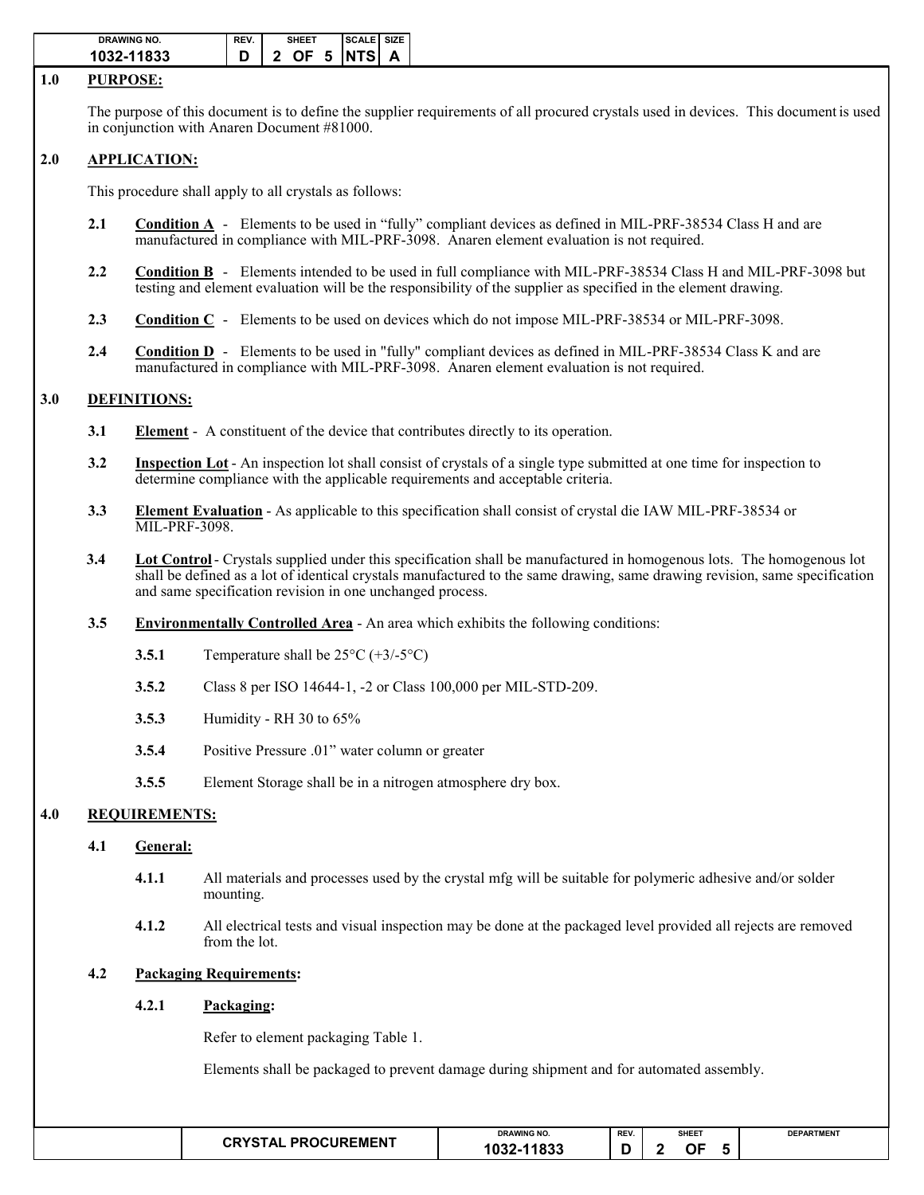| <b>DRAWING NO.</b> | REV. | <b>SHEET</b>           | <b>ISCALE SIZE</b> |  |
|--------------------|------|------------------------|--------------------|--|
| 1032-11833         |      | $\vert$ 2 OF 5 INTSI A |                    |  |

#### **1.0 PURPOSE:**

The purpose of this document is to define the supplier requirements of all procured crystals used in devices. This document is used in conjunction with Anaren Document #81000.

# **2.0 APPLICATION:**

This procedure shall apply to all crystals as follows:

- **2.1 Condition A** Elements to be used in "fully" compliant devices as defined in MIL-PRF-38534 Class H and are manufactured in compliance with MIL-PRF-3098. Anaren element evaluation is not required.
- **2.2 Condition B** Elements intended to be used in full compliance with MIL-PRF-38534 Class H and MIL-PRF-3098 but testing and element evaluation will be the responsibility of the supplier as specified in the element drawing.
- **2.3 Condition C** Elements to be used on devices which do not impose MIL-PRF-38534 or MIL-PRF-3098.
- **2.4 Condition D** Elements to be used in "fully" compliant devices as defined in MIL-PRF-38534 Class K and are manufactured in compliance with MIL-PRF-3098. Anaren element evaluation is not required.

# **3.0 DEFINITIONS:**

- **3.1 Element** A constituent of the device that contributes directly to its operation.
- **3.2 Inspection Lot** An inspection lot shall consist of crystals of a single type submitted at one time for inspection to determine compliance with the applicable requirements and acceptable criteria.
- **3.3 Element Evaluation** As applicable to this specification shall consist of crystal die IAW MIL-PRF-38534 or MIL-PRF-3098.
- **3.4 Lot Control** Crystals supplied under this specification shall be manufactured in homogenous lots. The homogenous lot shall be defined as a lot of identical crystals manufactured to the same drawing, same drawing revision, same specification and same specification revision in one unchanged process.
- **3.5 Environmentally Controlled Area** An area which exhibits the following conditions:
	- **3.5.1** Temperature shall be  $25^{\circ}C (+3/-5^{\circ}C)$
	- **3.5.2** Class 8 per ISO 14644-1, -2 or Class 100,000 per MIL-STD-209.
	- **3.5.3** Humidity RH 30 to 65%
	- **3.5.4** Positive Pressure .01" water column or greater
	- **3.5.5** Element Storage shall be in a nitrogen atmosphere dry box.

## **4.0 REQUIREMENTS:**

## **4.1 General:**

- **4.1.1** All materials and processes used by the crystal mfg will be suitable for polymeric adhesive and/or solder mounting.
- **4.1.2** All electrical tests and visual inspection may be done at the packaged level provided all rejects are removed from the lot.

## **4.2 Packaging Requirements:**

# **4.2.1 Packaging:**

Refer to element packaging Table 1.

Elements shall be packaged to prevent damage during shipment and for automated assembly.

|  | <b>PROCUREMENT</b><br>ΓA I<br>$\cdots$ | <b>DRAWING NO.</b> | REV. | <b>SHEET</b> |    |  | <b>DEPARTMENT</b> |
|--|----------------------------------------|--------------------|------|--------------|----|--|-------------------|
|  |                                        | ,<br>റാം           |      |              | ЭF |  |                   |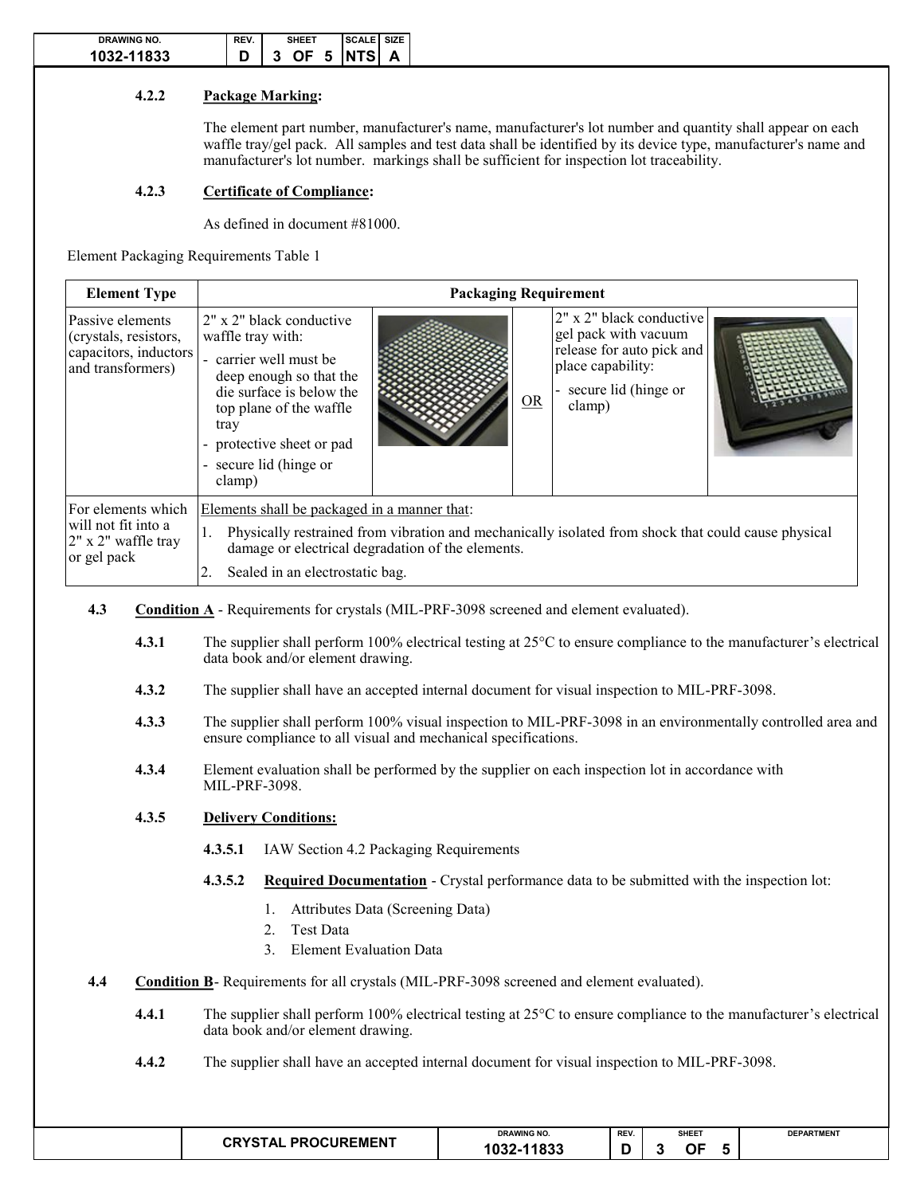| DRAWING NO. | REV. | EE  | <b>SIZE</b><br><b>SCALE</b> I |
|-------------|------|-----|-------------------------------|
| 1032-11833  |      | OF. | 5 INTSI A                     |

# **4.2.2 Package Marking:**

The element part number, manufacturer's name, manufacturer's lot number and quantity shall appear on each waffle tray/gel pack. All samples and test data shall be identified by its device type, manufacturer's name and manufacturer's lot number. markings shall be sufficient for inspection lot traceability.

## **4.2.3 Certificate of Compliance:**

As defined in document #81000.

Element Packaging Requirements Table 1

| <b>Element Type</b>                                                                     | <b>Packaging Requirement</b>                                                                                                                                                                                                                                                                                                                                                   |  |  |  |  |  |  |  |  |  |
|-----------------------------------------------------------------------------------------|--------------------------------------------------------------------------------------------------------------------------------------------------------------------------------------------------------------------------------------------------------------------------------------------------------------------------------------------------------------------------------|--|--|--|--|--|--|--|--|--|
| Passive elements<br>(crystals, resistors,<br>capacitors, inductors<br>and transformers) | 2" x 2" black conductive<br>2" x 2" black conductive<br>gel pack with vacuum<br>waffle tray with:<br>release for auto pick and<br>carrier well must be<br>place capability:<br>deep enough so that the<br>secure lid (hinge or<br>die surface is below the<br>OR<br>clamp)<br>top plane of the waffle<br>tray<br>- protective sheet or pad<br>- secure lid (hinge or<br>clamp) |  |  |  |  |  |  |  |  |  |
| For elements which<br>will not fit into a<br>2" x 2" waffle tray<br>or gel pack         | Elements shall be packaged in a manner that:<br>Physically restrained from vibration and mechanically isolated from shock that could cause physical<br>1.<br>damage or electrical degradation of the elements.<br>Sealed in an electrostatic bag.                                                                                                                              |  |  |  |  |  |  |  |  |  |

- **4.3 Condition A** Requirements for crystals (MIL-PRF-3098 screened and element evaluated).
	- **4.3.1** The supplier shall perform 100% electrical testing at 25°C to ensure compliance to the manufacturer's electrical data book and/or element drawing.
	- **4.3.2** The supplier shall have an accepted internal document for visual inspection to MIL-PRF-3098.
	- **4.3.3** The supplier shall perform 100% visual inspection to MIL-PRF-3098 in an environmentally controlled area and ensure compliance to all visual and mechanical specifications.
	- **4.3.4** Element evaluation shall be performed by the supplier on each inspection lot in accordance with MIL-PRF-3098.

## **4.3.5 Delivery Conditions:**

- **4.3.5.1** IAW Section 4.2 Packaging Requirements
- **4.3.5.2 Required Documentation** Crystal performance data to be submitted with the inspection lot:
	- 1. Attributes Data (Screening Data)
	- 2. Test Data
	- 3. Element Evaluation Data
- **4.4 Condition B** Requirements for all crystals (MIL-PRF-3098 screened and element evaluated).
	- **4.4.1** The supplier shall perform 100% electrical testing at 25°C to ensure compliance to the manufacturer's electrical data book and/or element drawing.
	- **4.4.2** The supplier shall have an accepted internal document for visual inspection to MIL-PRF-3098.

|                                      | <b>DRAWING NO.</b>           |     | <b>SHEET</b><br>the contract of the contract of the | <b>DEPARTMENT</b> |
|--------------------------------------|------------------------------|-----|-----------------------------------------------------|-------------------|
| <b>PROCUREMENT</b><br><b>CRYSTAL</b> | 11833<br>$1032 - 1$<br>- - - | . . | ור                                                  |                   |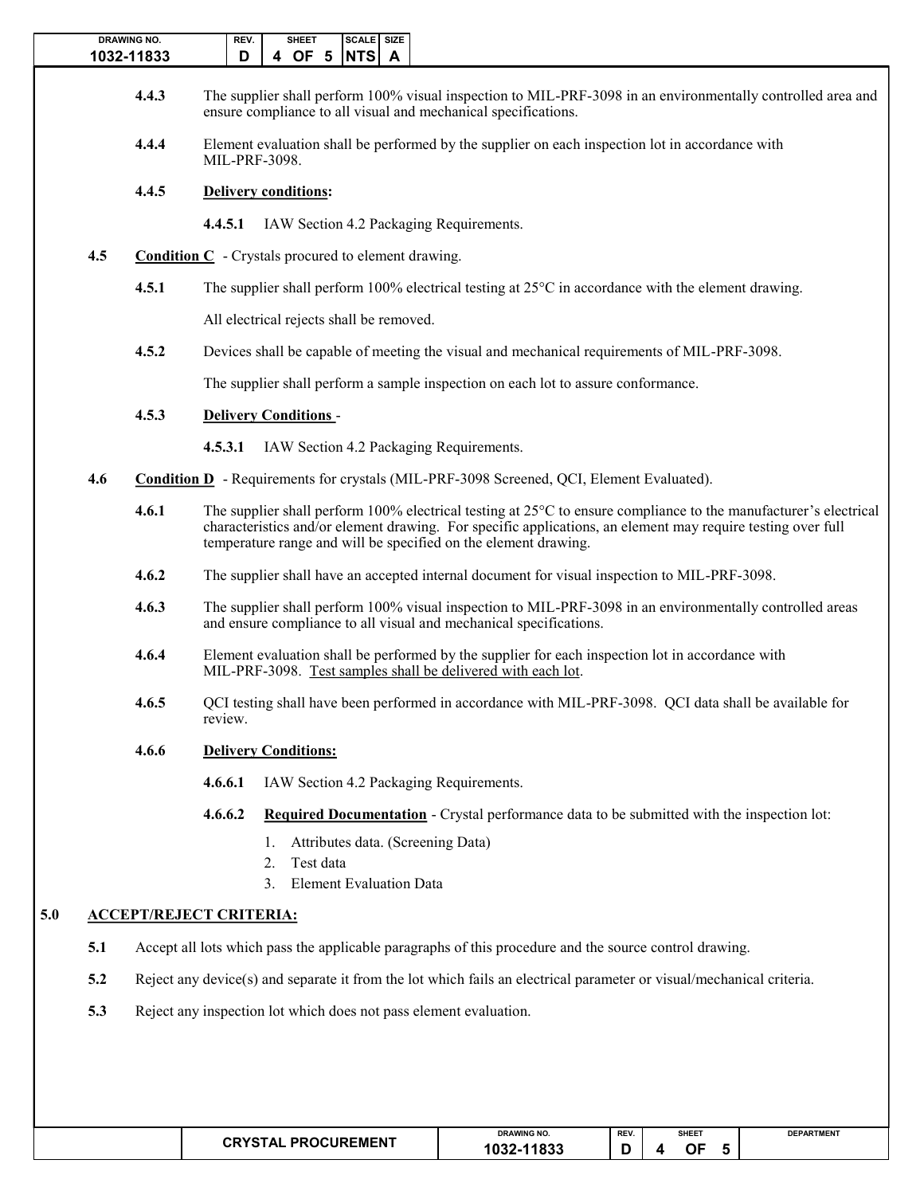|     | <b>DRAWING NO.</b><br>1032-11833 | SCALE SIZE<br>REV.<br><b>SHEET</b><br>4 OF 5<br>NTS A<br>D                                                                                                                                                                                                                                                   |
|-----|----------------------------------|--------------------------------------------------------------------------------------------------------------------------------------------------------------------------------------------------------------------------------------------------------------------------------------------------------------|
|     | 4.4.3                            | The supplier shall perform 100% visual inspection to MIL-PRF-3098 in an environmentally controlled area and<br>ensure compliance to all visual and mechanical specifications.                                                                                                                                |
|     | 4.4.4                            | Element evaluation shall be performed by the supplier on each inspection lot in accordance with<br>MIL-PRF-3098.                                                                                                                                                                                             |
|     | 4.4.5                            | <b>Delivery conditions:</b>                                                                                                                                                                                                                                                                                  |
|     |                                  | IAW Section 4.2 Packaging Requirements.<br>4.4.5.1                                                                                                                                                                                                                                                           |
| 4.5 |                                  | <b>Condition C</b> - Crystals procured to element drawing.                                                                                                                                                                                                                                                   |
|     | 4.5.1                            | The supplier shall perform 100% electrical testing at $25^{\circ}$ C in accordance with the element drawing.                                                                                                                                                                                                 |
|     |                                  | All electrical rejects shall be removed.                                                                                                                                                                                                                                                                     |
|     | 4.5.2                            | Devices shall be capable of meeting the visual and mechanical requirements of MIL-PRF-3098.                                                                                                                                                                                                                  |
|     |                                  | The supplier shall perform a sample inspection on each lot to assure conformance.                                                                                                                                                                                                                            |
|     | 4.5.3                            | <b>Delivery Conditions-</b>                                                                                                                                                                                                                                                                                  |
|     |                                  | 4.5.3.1<br>IAW Section 4.2 Packaging Requirements.                                                                                                                                                                                                                                                           |
| 4.6 |                                  | <b>Condition D</b> - Requirements for crystals (MIL-PRF-3098 Screened, QCI, Element Evaluated).                                                                                                                                                                                                              |
|     | 4.6.1                            | The supplier shall perform 100% electrical testing at $25^{\circ}$ C to ensure compliance to the manufacturer's electrical<br>characteristics and/or element drawing. For specific applications, an element may require testing over full<br>temperature range and will be specified on the element drawing. |
|     | 4.6.2                            | The supplier shall have an accepted internal document for visual inspection to MIL-PRF-3098.                                                                                                                                                                                                                 |
|     | 4.6.3                            | The supplier shall perform 100% visual inspection to MIL-PRF-3098 in an environmentally controlled areas<br>and ensure compliance to all visual and mechanical specifications.                                                                                                                               |
|     | 4.6.4                            | Element evaluation shall be performed by the supplier for each inspection lot in accordance with<br>MIL-PRF-3098. Test samples shall be delivered with each lot.                                                                                                                                             |
|     | 4.6.5                            | QCI testing shall have been performed in accordance with MIL-PRF-3098. QCI data shall be available for<br>review.                                                                                                                                                                                            |
|     | 4.6.6                            | <b>Delivery Conditions:</b>                                                                                                                                                                                                                                                                                  |
|     |                                  | 4.6.6.1<br>IAW Section 4.2 Packaging Requirements.                                                                                                                                                                                                                                                           |
|     |                                  | 4.6.6.2<br><b>Required Documentation - Crystal performance data to be submitted with the inspection lot:</b>                                                                                                                                                                                                 |
|     |                                  | Attributes data. (Screening Data)<br>Ι.                                                                                                                                                                                                                                                                      |
|     |                                  | Test data<br>2.<br><b>Element Evaluation Data</b><br>3.                                                                                                                                                                                                                                                      |
|     |                                  | <b>ACCEPT/REJECT CRITERIA:</b>                                                                                                                                                                                                                                                                               |
| 5.1 |                                  | Accept all lots which pass the applicable paragraphs of this procedure and the source control drawing.                                                                                                                                                                                                       |
| 5.2 |                                  | Reject any device(s) and separate it from the lot which fails an electrical parameter or visual/mechanical criteria.                                                                                                                                                                                         |
| 5.3 |                                  | Reject any inspection lot which does not pass element evaluation.                                                                                                                                                                                                                                            |

| $\sim$ $\sim$ $\sim$ $\sim$ $\sim$ $\sim$ | <b>DRAWING NO.</b>        | REV. | <b>SHEET</b><br>the contract of the contract of the | <b>DEPARTMENT</b> |
|-------------------------------------------|---------------------------|------|-----------------------------------------------------|-------------------|
| <b>PROCUREMENT</b>                        | $\overline{1000}$<br>טסו. |      | --<br>ור                                            |                   |